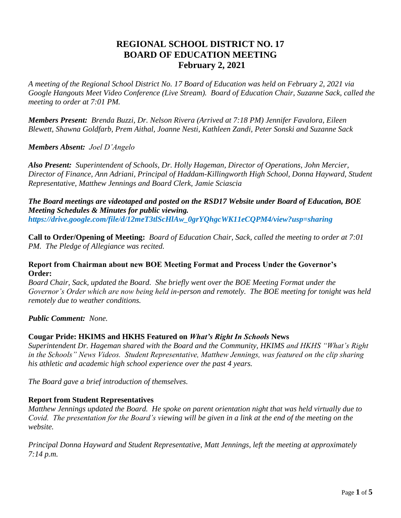# **REGIONAL SCHOOL DISTRICT NO. 17 BOARD OF EDUCATION MEETING February 2, 2021**

*A meeting of the Regional School District No. 17 Board of Education was held on February 2, 2021 via Google Hangouts Meet Video Conference (Live Stream). Board of Education Chair, Suzanne Sack, called the meeting to order at 7:01 PM.*

*Members Present: Brenda Buzzi, Dr. Nelson Rivera (Arrived at 7:18 PM) Jennifer Favalora, Eileen Blewett, Shawna Goldfarb, Prem Aithal, Joanne Nesti, Kathleen Zandi, Peter Sonski and Suzanne Sack* 

### *Members Absent: Joel D'Angelo*

*Also Present: Superintendent of Schools, Dr. Holly Hageman, Director of Operations, John Mercier, Director of Finance, Ann Adriani, Principal of Haddam-Killingworth High School, Donna Hayward, Student Representative, Matthew Jennings and Board Clerk, Jamie Sciascia* 

*The Board meetings are videotaped and posted on the RSD17 Website under Board of Education, BOE Meeting Schedules & Minutes for public viewing. https://drive.google.com/file/d/12meT3tlScHlAw\_0grYQhgcWK11eCQPM4/view?usp=sharing* 

**Call to Order/Opening of Meeting:** *Board of Education Chair, Sack, called the meeting to order at 7:01 PM. The Pledge of Allegiance was recited.*

#### **Report from Chairman about new BOE Meeting Format and Process Under the Governor's Order:**

*Board Chair, Sack, updated the Board. She briefly went over the BOE Meeting Format under the Governor's Order which are now being held in-person and remotely. The BOE meeting for tonight was held remotely due to weather conditions.*

#### *Public Comment: None.*

# **Cougar Pride: HKIMS and HKHS Featured on** *What's Right In Schools* **News**

*Superintendent Dr. Hageman shared with the Board and the Community, HKIMS and HKHS "What's Right in the Schools" News Videos. Student Representative, Matthew Jennings, was featured on the clip sharing his athletic and academic high school experience over the past 4 years.* 

*The Board gave a brief introduction of themselves.*

# **Report from Student Representatives**

*Matthew Jennings updated the Board. He spoke on parent orientation night that was held virtually due to Covid. The presentation for the Board's viewing will be given in a link at the end of the meeting on the website.*

*Principal Donna Hayward and Student Representative, Matt Jennings, left the meeting at approximately 7:14 p.m.*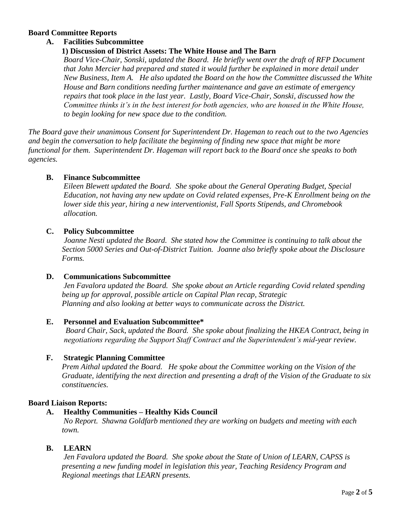### **Board Committee Reports**

### **A. Facilities Subcommittee**

#### **1) Discussion of District Assets: The White House and The Barn**

*Board Vice-Chair, Sonski, updated the Board. He briefly went over the draft of RFP Document that John Mercier had prepared and stated it would further be explained in more detail under New Business, Item A. He also updated the Board on the how the Committee discussed the White House and Barn conditions needing further maintenance and gave an estimate of emergency repairs that took place in the last year. Lastly, Board Vice-Chair, Sonski, discussed how the Committee thinks it's in the best interest for both agencies, who are housed in the White House, to begin looking for new space due to the condition.*

*The Board gave their unanimous Consent for Superintendent Dr. Hageman to reach out to the two Agencies and begin the conversation to help facilitate the beginning of finding new space that might be more functional for them. Superintendent Dr. Hageman will report back to the Board once she speaks to both agencies.*

#### **B. Finance Subcommittee**

*Eileen Blewett updated the Board. She spoke about the General Operating Budget, Special Education, not having any new update on Covid related expenses, Pre-K Enrollment being on the lower side this year, hiring a new interventionist, Fall Sports Stipends, and Chromebook allocation.*

### **C. Policy Subcommittee**

 *Joanne Nesti updated the Board. She stated how the Committee is continuing to talk about the Section 5000 Series and Out-of-District Tuition. Joanne also briefly spoke about the Disclosure Forms.* 

#### **D. Communications Subcommittee**

*Jen Favalora updated the Board. She spoke about an Article regarding Covid related spending being up for approval, possible article on Capital Plan recap, Strategic Planning and also looking at better ways to communicate across the District.*

#### **E. Personnel and Evaluation Subcommittee\***

*Board Chair, Sack, updated the Board. She spoke about finalizing the HKEA Contract, being in negotiations regarding the Support Staff Contract and the Superintendent's mid-year review.*

# **F. Strategic Planning Committee**

 *Prem Aithal updated the Board. He spoke about the Committee working on the Vision of the Graduate, identifying the next direction and presenting a draft of the Vision of the Graduate to six constituencies.*

#### **Board Liaison Reports:**

#### **A. Healthy Communities – Healthy Kids Council**

*No Report. Shawna Goldfarb mentioned they are working on budgets and meeting with each town.*

# **B. LEARN**

*Jen Favalora updated the Board. She spoke about the State of Union of LEARN, CAPSS is presenting a new funding model in legislation this year, Teaching Residency Program and Regional meetings that LEARN presents.*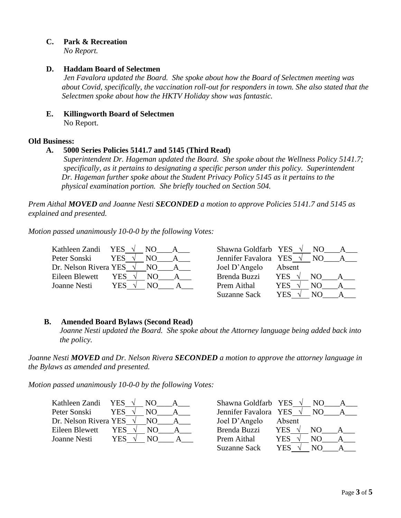**C. Park & Recreation**

*No Report.*

# **D. Haddam Board of Selectmen**

*Jen Favalora updated the Board. She spoke about how the Board of Selectmen meeting was about Covid, specifically, the vaccination roll-out for responders in town. She also stated that the Selectmen spoke about how the HKTV Holiday show was fantastic.*

**E. Killingworth Board of Selectmen** No Report.

# **Old Business:**

# **A. 5000 Series Policies 5141.7 and 5145 (Third Read)**

*Superintendent Dr. Hageman updated the Board. She spoke about the Wellness Policy 5141.7; specifically, as it pertains to designating a specific person under this policy. Superintendent Dr. Hageman further spoke about the Student Privacy Policy 5145 as it pertains to the physical examination portion. She briefly touched on Section 504.*

*Prem Aithal MOVED and Joanne Nesti SECONDED a motion to approve Policies 5141.7 and 5145 as explained and presented.*

*Motion passed unanimously 10-0-0 by the following Votes:*

| Kathleen Zandi YES              |                  |     | Shawna Goldfarb YES   |            |     |  |
|---------------------------------|------------------|-----|-----------------------|------------|-----|--|
| Peter Sonski                    | <b>YES</b><br>NΟ |     | Jennifer Favalora YES |            | NO. |  |
| Dr. Nelson Rivera YES $\sqrt{}$ |                  | NO. | Joel D'Angelo         | Absent     |     |  |
| Eileen Blewett                  | <b>YES</b>       | NO. | Brenda Buzzi          | <b>YES</b> | NO. |  |
| Joanne Nesti                    | YES.             | N() | Prem Aithal           | YES        | NO  |  |
|                                 |                  |     | <b>Suzanne Sack</b>   | YES        | NΟ  |  |

# **B. Amended Board Bylaws (Second Read)**

 *Joanne Nesti updated the Board. She spoke about the Attorney language being added back into the policy.*

*Joanne Nesti MOVED and Dr. Nelson Rivera SECONDED a motion to approve the attorney language in the Bylaws as amended and presented.*

*Motion passed unanimously 10-0-0 by the following Votes:*

| Kathleen Zandi YES $\sqrt{}$    |            | NO. | Shawna Goldfarb YES $\sqrt{}$ |            |     |  |
|---------------------------------|------------|-----|-------------------------------|------------|-----|--|
| Peter Sonski                    | <b>YES</b> | NO. | Jennifer Favalora YES         |            | NO. |  |
| Dr. Nelson Rivera YES $\sqrt{}$ |            | NO. | Joel D'Angelo                 | Absent     |     |  |
| Eileen Blewett                  | YES        | NO. | Brenda Buzzi                  | <b>YES</b> | NО  |  |
| Joanne Nesti                    | YES.       |     | Prem Aithal                   | YES        | NO  |  |
|                                 |            |     | <b>Suzanne Sack</b>           | YES        | NO  |  |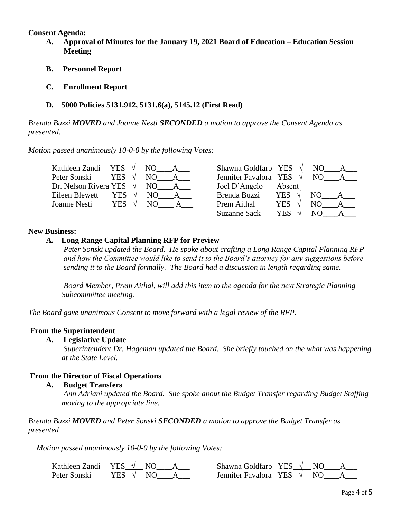#### **Consent Agenda:**

- **A. Approval of Minutes for the January 19, 2021 Board of Education – Education Session Meeting**
- **B. Personnel Report**
- **C. Enrollment Report**
- **D. 5000 Policies 5131.912, 5131.6(a), 5145.12 (First Read)**

*Brenda Buzzi MOVED and Joanne Nesti SECONDED a motion to approve the Consent Agenda as presented.*

*Motion passed unanimously 10-0-0 by the following Votes:*

| Kathleen Zandi                  | YES $\sqrt{}$ | NO. | Shawna Goldfarb YES   | NO.               |
|---------------------------------|---------------|-----|-----------------------|-------------------|
| Peter Sonski                    | YES           | NO. | Jennifer Favalora YES | NO.               |
| Dr. Nelson Rivera YES $\sqrt{}$ |               | NO. | Joel D'Angelo         | Absent            |
| Eileen Blewett                  | YES.          | NO. | Brenda Buzzi          | <b>YES</b><br>NO. |
| Joanne Nesti                    | YES           | NΟ  | Prem Aithal           | <b>YES</b><br>NΩ  |
|                                 |               |     | <b>Suzanne Sack</b>   | YES               |

# **New Business:**

# **A. Long Range Capital Planning RFP for Preview**

*Peter Sonski updated the Board. He spoke about crafting a Long Range Capital Planning RFP and how the Committee would like to send it to the Board's attorney for any suggestions before sending it to the Board formally. The Board had a discussion in length regarding same.*

*Board Member, Prem Aithal, will add this item to the agenda for the next Strategic Planning Subcommittee meeting.*

*The Board gave unanimous Consent to move forward with a legal review of the RFP.*

# **From the Superintendent**

**A. Legislative Update** 

 *Superintendent Dr. Hageman updated the Board. She briefly touched on the what was happening at the State Level.*

# **From the Director of Fiscal Operations**

# **A. Budget Transfers**

 *Ann Adriani updated the Board. She spoke about the Budget Transfer regarding Budget Staffing moving to the appropriate line.*

*Brenda Buzzi MOVED and Peter Sonski SECONDED a motion to approve the Budget Transfer as presented*

*Motion passed unanimously 10-0-0 by the following Votes:*

| Kathleen Zandi | YES $\sqrt{ }$ | Shawna Goldfarb YES             |
|----------------|----------------|---------------------------------|
| Peter Sonski   | YES V          | Jennifer Favalora YES $\sqrt{}$ |